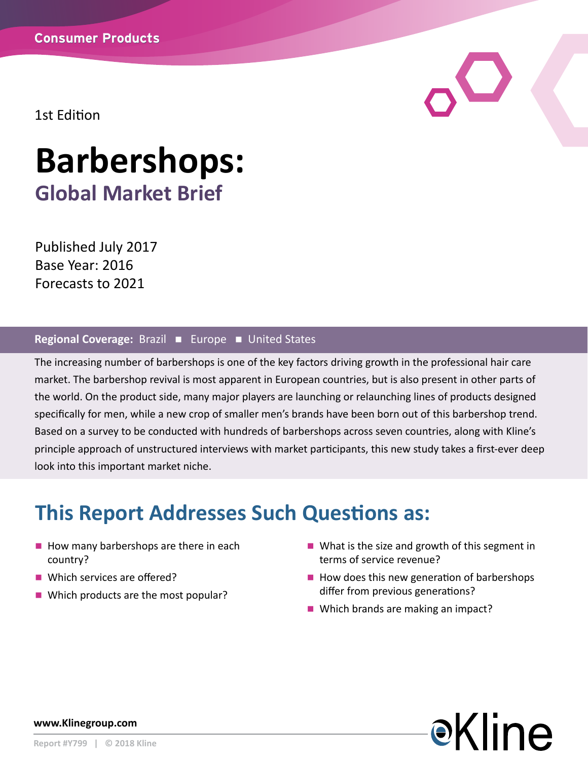1st Edition

# **Barbershops: Global Market Brief**

Published July 2017 Base Year: 2016 Forecasts to 2021

#### Regional Coverage: Brazil **E** Europe **N** United States

The increasing number of barbershops is one of the key factors driving growth in the professional hair care market. The barbershop revival is most apparent in European countries, but is also present in other parts of the world. On the product side, many major players are launching or relaunching lines of products designed specifically for men, while a new crop of smaller men's brands have been born out of this barbershop trend. Based on a survey to be conducted with hundreds of barbershops across seven countries, along with Kline's principle approach of unstructured interviews with market participants, this new study takes a first-ever deep look into this important market niche.

## **This Report Addresses Such Questions as:**

- $\blacksquare$  How many barbershops are there in each country?
- $\blacksquare$  Which services are offered?
- $\blacksquare$  Which products are the most popular?
- $\blacksquare$  What is the size and growth of this segment in terms of service revenue?
- $\blacksquare$  How does this new generation of barbershops differ from previous generations?
- $\blacksquare$  Which brands are making an impact?



**www.Klinegroup.com**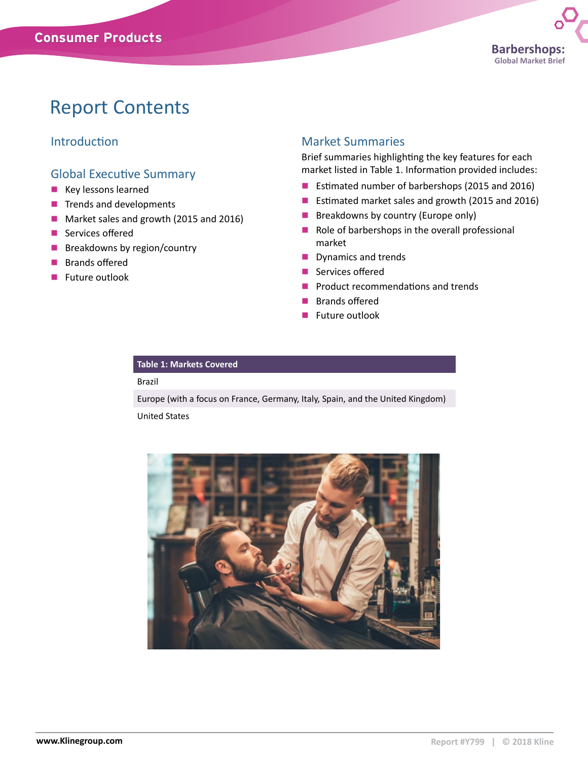## Report Contents

### Introduction

#### Global Executive Summary

- $\blacksquare$  Key lessons learned
- $\blacksquare$  Trends and developments
- Market sales and growth (2015 and 2016)
- $\blacksquare$  Services offered
- $\blacksquare$  Breakdowns by region/country
- **n** Brands offered
- $\blacksquare$  Future outlook

#### Market Summaries

Brief summaries highlighting the key features for each market listed in Table 1. Information provided includes:

- Estimated number of barbershops (2015 and 2016)
- Estimated market sales and growth (2015 and 2016)
- $\blacksquare$  Breakdowns by country (Europe only)
- $\blacksquare$  Role of barbershops in the overall professional market
- $\blacksquare$  Dynamics and trends
- $\blacksquare$  Services offered
- $\blacksquare$  Product recommendations and trends
- **Brands offered**
- $\blacksquare$  Future outlook

#### **Table 1: Markets Covered**

#### Brazil

Europe (with a focus on France, Germany, Italy, Spain, and the United Kingdom)

United States

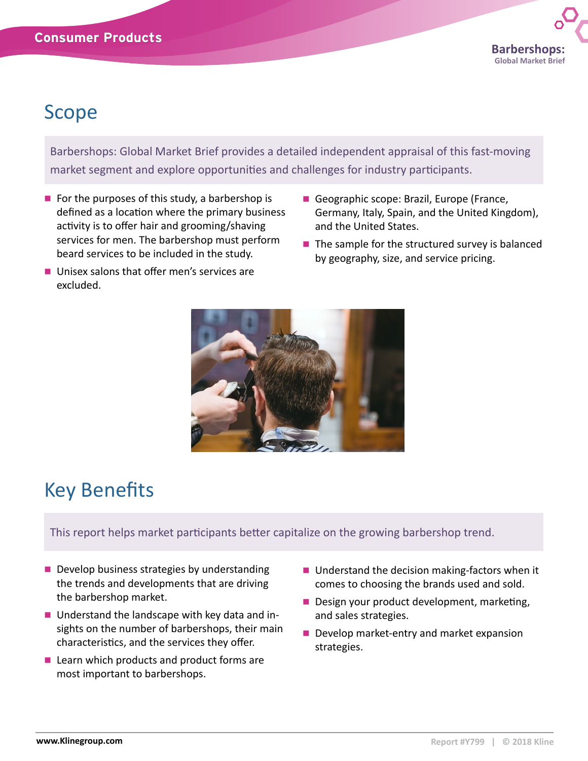## Scope

Barbershops: Global Market Brief provides a detailed independent appraisal of this fast-moving market segment and explore opportunities and challenges for industry participants.

- $\blacksquare$  For the purposes of this study, a barbershop is defined as a location where the primary business activity is to offer hair and grooming/shaving services for men. The barbershop must perform beard services to be included in the study.
- $\blacksquare$  Unisex salons that offer men's services are excluded.
- Geographic scope: Brazil, Europe (France, Germany, Italy, Spain, and the United Kingdom), and the United States.
- $\blacksquare$  The sample for the structured survey is balanced by geography, size, and service pricing.



## Key Benefits

This report helps market participants better capitalize on the growing barbershop trend.

- $\blacksquare$  Develop business strategies by understanding the trends and developments that are driving the barbershop market.
- $\blacksquare$  Understand the landscape with key data and insights on the number of barbershops, their main characteristics, and the services they offer.
- $\blacksquare$  Learn which products and product forms are most important to barbershops.
- $\blacksquare$  Understand the decision making-factors when it comes to choosing the brands used and sold.
- Design your product development, marketing, and sales strategies.
- Develop market-entry and market expansion strategies.